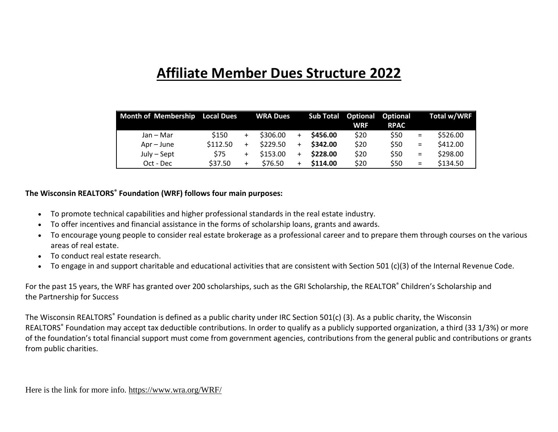# **Affiliate Member Dues Structure 2022**

| Month of Membership Local Dues |          | <b>WRA Dues</b> |           | <b>Sub Total</b> | <b>Optional Optional</b><br><b>WRF</b> | <b>RPAC</b> |          | Total w/WRF |
|--------------------------------|----------|-----------------|-----------|------------------|----------------------------------------|-------------|----------|-------------|
| Jan – Mar                      | \$150    | \$306.00        | $\ddot{}$ | \$456.00         | \$20                                   | \$50        | $\equiv$ | \$526.00    |
| Apr – June                     | \$112.50 | \$229.50        | $\ddot{}$ | \$342.00         | \$20                                   | \$50        | $\equiv$ | \$412.00    |
| $July - Sept$                  | \$75     | \$153.00        | $\ddot{}$ | \$228.00         | \$20                                   | \$50        | $\equiv$ | \$298.00    |
| Oct - Dec                      | \$37.50  | \$76.50         |           | \$114.00         | \$20                                   | \$50        | $\equiv$ | \$134.50    |

#### **The Wisconsin REALTORS® Foundation (WRF) follows four main purposes:**

- To promote technical capabilities and higher professional standards in the real estate industry.
- To offer incentives and financial assistance in the forms of scholarship loans, grants and awards.
- To encourage young people to consider real estate brokerage as a professional career and to prepare them through courses on the various areas of real estate.
- To conduct real estate research.
- To engage in and support charitable and educational activities that are consistent with Section 501 (c)(3) of the Internal Revenue Code.

For the past 15 years, the WRF has granted over 200 scholarships, such as the [GRI Scholarship,](https://www.wra.org/GRIscholarship/) the REALTOR® [Children's Scholarship](https://www.wra.org/ChildScholarshipAppl/) and the [Partnership for Success](https://www.wra.org/Partnership/)

The Wisconsin REALTORS<sup>®</sup> Foundation is defined as a public charity under IRC Section 501(c) (3). As a public charity, the Wisconsin REALTORS<sup>®</sup> Foundation may accept tax deductible contributions. In order to qualify as a publicly supported organization, a third (33 1/3%) or more of the foundation's total financial support must come from government agencies, contributions from the general public and contributions or grants from public charities.

Here is the link for more info.<https://www.wra.org/WRF/>